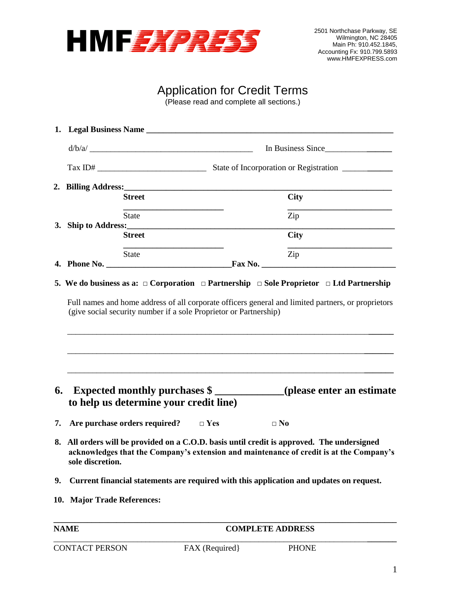

## Application for Credit Terms

(Please read and complete all sections.)

|                      |                                                                                       |                         | In Business Since                                                                                                                                                                  |
|----------------------|---------------------------------------------------------------------------------------|-------------------------|------------------------------------------------------------------------------------------------------------------------------------------------------------------------------------|
|                      |                                                                                       |                         |                                                                                                                                                                                    |
|                      |                                                                                       |                         |                                                                                                                                                                                    |
|                      | <b>Street</b>                                                                         |                         | <b>City</b>                                                                                                                                                                        |
|                      | State                                                                                 |                         | $\rm Zip$                                                                                                                                                                          |
|                      | <b>Street</b>                                                                         |                         | <b>City</b>                                                                                                                                                                        |
|                      | <b>State</b>                                                                          |                         | Zip                                                                                                                                                                                |
|                      |                                                                                       |                         |                                                                                                                                                                                    |
|                      |                                                                                       |                         | Expected monthly purchases \$                                                                                                                                                      |
|                      | to help us determine your credit line)<br>Are purchase orders required? $\square$ Yes | $\square$ No            |                                                                                                                                                                                    |
|                      | sole discretion.                                                                      |                         | All orders will be provided on a C.O.D. basis until credit is approved. The undersigned<br>acknowledges that the Company's extension and maintenance of credit is at the Company's |
|                      |                                                                                       |                         | Current financial statements are required with this application and updates on request.                                                                                            |
| 6.<br>7.<br>8.<br>9. | 10. Major Trade References:                                                           |                         |                                                                                                                                                                                    |
| <b>NAME</b>          |                                                                                       | <b>COMPLETE ADDRESS</b> |                                                                                                                                                                                    |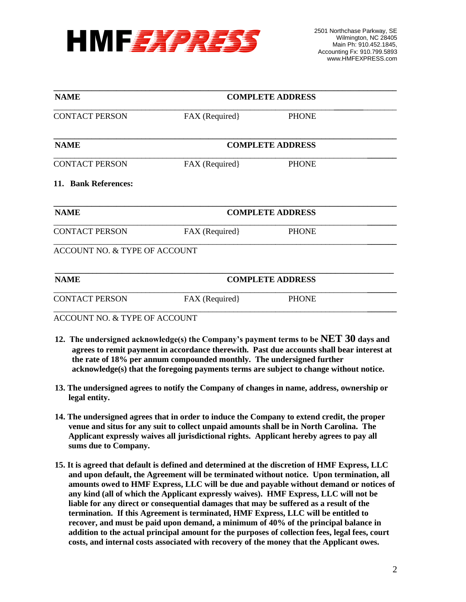

| <b>NAME</b>                              | <b>COMPLETE ADDRESS</b> |                         |  |
|------------------------------------------|-------------------------|-------------------------|--|
| <b>CONTACT PERSON</b>                    | FAX (Required)          | <b>PHONE</b>            |  |
| <b>NAME</b>                              |                         | <b>COMPLETE ADDRESS</b> |  |
| <b>CONTACT PERSON</b>                    | FAX (Required)          | <b>PHONE</b>            |  |
| 11. Bank References:                     |                         |                         |  |
| <b>NAME</b>                              | <b>COMPLETE ADDRESS</b> |                         |  |
| <b>CONTACT PERSON</b>                    | FAX (Required)          | <b>PHONE</b>            |  |
| <b>ACCOUNT NO. &amp; TYPE OF ACCOUNT</b> |                         |                         |  |
| <b>NAME</b>                              | <b>COMPLETE ADDRESS</b> |                         |  |
| <b>CONTACT PERSON</b>                    | FAX (Required)          | <b>PHONE</b>            |  |
| ACCOUNT NO. & TYPE OF ACCOUNT            |                         |                         |  |

- **12. The undersigned acknowledge(s) the Company's payment terms to be NET 30 days and agrees to remit payment in accordance therewith. Past due accounts shall bear interest at the rate of 18% per annum compounded monthly. The undersigned further acknowledge(s) that the foregoing payments terms are subject to change without notice.**
- **13. The undersigned agrees to notify the Company of changes in name, address, ownership or legal entity.**
- **14. The undersigned agrees that in order to induce the Company to extend credit, the proper venue and situs for any suit to collect unpaid amounts shall be in North Carolina. The Applicant expressly waives all jurisdictional rights. Applicant hereby agrees to pay all sums due to Company.**
- **15. It is agreed that default is defined and determined at the discretion of HMF Express, LLC and upon default, the Agreement will be terminated without notice. Upon termination, all amounts owed to HMF Express, LLC will be due and payable without demand or notices of any kind (all of which the Applicant expressly waives). HMF Express, LLC will not be liable for any direct or consequential damages that may be suffered as a result of the termination. If this Agreement is terminated, HMF Express, LLC will be entitled to recover, and must be paid upon demand, a minimum of 40% of the principal balance in addition to the actual principal amount for the purposes of collection fees, legal fees, court costs, and internal costs associated with recovery of the money that the Applicant owes.**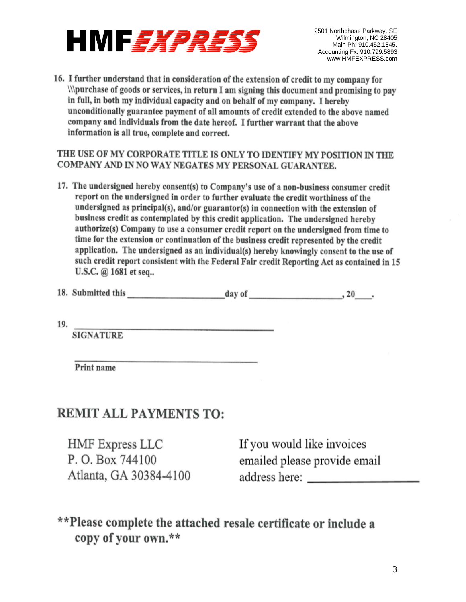

2501 Northchase Parkway, SE Wilmington, NC 28405 Main Ph: 910.452.1845, Accounting Fx: 910.799.5893 www.HMFEXPRESS.com

**16. I further understand that in consideration of the extension of credit to my company for \\\purchase of goods or services, in return I am signing this document and promising to pay in full, in both my individual capacity and on behalf of my company. I hereby unconditionally guarantee payment of all amounts of credit extended to the above named company and individuals from the date hereof. I further warrant that the above**  company and mulviquals from the date here.

THE USE OF MY CORPORATE TITLE IS ONLY TO IDENTIFY MY POSITION IN THE COMPANY AND IN NO WAY NEGATES MY PERSONAL GUARANTEE.

17. The undersigned hereby consent(s) to Company's use of a non-business consumer credit report on the undersigned in order to further evaluate the credit worthiness of the **business can also content as contemplated by the understanding application. The understanding of the understanding of** andersigned as principal(s), and/or guarantor(s) in connection with the extension or business credit as contemplated by this credit application. The undersigned hereby authorize(s) Company to use a consumer credit report on the undersigned from time to time for the extension or continuation of the business credit represented by the credit application. The undersigned as an individual(s) hereby knowingly consent to the use of such credit report consistent with the Federal Fair credit Reporting Act as contained in 15 **U.S.C.** @ 1681 et seq..

| 18. Submitted this<br>day of | 20 |
|------------------------------|----|
|------------------------------|----|

19.

**\_\_\_\_\_\_\_\_\_\_\_\_\_\_\_\_\_\_\_\_\_\_\_\_\_\_\_\_\_\_\_\_\_\_\_\_\_\_\_\_\_\_\_ SIGNATURE** 

Print name

### FMIT ATT DAVS P. O. Box 744100

HMF Express LLC P.O. Box 744100 Atlanta, GA 30384-4100 address here: \_\_\_\_\_\_\_

If you would like invoices emailed please provide email

\*\*Please complete the attached resale certificate or include a copy of your own.\*\*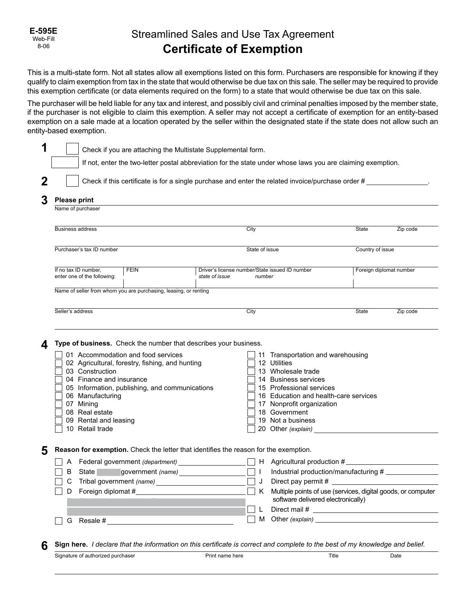### Streamlined Sales and Use Tax Agreement **Certificate of Exemption**

This is a multi-state form. Not all states allow all exemptions listed on this form. Purchasers are responsible for knowing if they qualify to claim exemption from tax in the state that would otherwise be due tax on this sale. The seller may be required to provide this exemption certificate (or data elements required on the form) to a state that would otherwise be due tax on this sale.

The purchaser will be held liable for any tax and interest, and possibly civil and criminal penalties imposed by the member state, if the purchaser is not eligible to claim this exemption. A seller may not accept a certificate of exemption for an entity-based exemption on a sale made at a location operated by the seller within the designated state if the state does not allow such an entity-based exemption.

|                                                                                                                                                                                                                                                                                                                                                           |                                                                                  |                                                                            | If not, enter the two-letter postal abbreviation for the state under whose laws you are claiming exemption.                                                                                                                             |                  |                         |
|-----------------------------------------------------------------------------------------------------------------------------------------------------------------------------------------------------------------------------------------------------------------------------------------------------------------------------------------------------------|----------------------------------------------------------------------------------|----------------------------------------------------------------------------|-----------------------------------------------------------------------------------------------------------------------------------------------------------------------------------------------------------------------------------------|------------------|-------------------------|
|                                                                                                                                                                                                                                                                                                                                                           |                                                                                  |                                                                            | Check if this certificate is for a single purchase and enter the related invoice/purchase order #                                                                                                                                       |                  |                         |
| <b>Please print</b>                                                                                                                                                                                                                                                                                                                                       |                                                                                  |                                                                            |                                                                                                                                                                                                                                         |                  |                         |
| Name of purchaser                                                                                                                                                                                                                                                                                                                                         |                                                                                  |                                                                            |                                                                                                                                                                                                                                         |                  |                         |
| <b>Business address</b>                                                                                                                                                                                                                                                                                                                                   |                                                                                  | City                                                                       |                                                                                                                                                                                                                                         | State            | Zip code                |
| Purchaser's tax ID number                                                                                                                                                                                                                                                                                                                                 |                                                                                  | State of issue                                                             |                                                                                                                                                                                                                                         | Country of issue |                         |
| <b>FEIN</b><br>If no tax ID number,<br>enter one of the following:                                                                                                                                                                                                                                                                                        |                                                                                  | Driver's license number/State issued ID number<br>state of issue<br>number |                                                                                                                                                                                                                                         |                  | Foreign diplomat number |
| Name of seller from whom you are purchasing, leasing, or renting                                                                                                                                                                                                                                                                                          |                                                                                  |                                                                            |                                                                                                                                                                                                                                         |                  |                         |
| Seller's address                                                                                                                                                                                                                                                                                                                                          |                                                                                  | City                                                                       |                                                                                                                                                                                                                                         | State            | Zip code                |
| Type of business. Check the number that describes your business.<br>01 Accommodation and food services<br>02 Agricultural, forestry, fishing, and hunting<br>03 Construction<br>04 Finance and insurance<br>05 Information, publishing, and communications<br>06 Manufacturing<br>07 Mining<br>08 Real estate<br>09 Rental and leasing<br>10 Retail trade |                                                                                  |                                                                            | 11 Transportation and warehousing<br>12 Utilities<br>13 Wholesale trade<br>14 Business services<br>15 Professional services<br>16 Education and health-care services<br>17 Nonprofit organization<br>18 Government<br>19 Not a business |                  |                         |
| Reason for exemption. Check the letter that identifies the reason for the exemption.                                                                                                                                                                                                                                                                      |                                                                                  |                                                                            |                                                                                                                                                                                                                                         |                  |                         |
| В<br>State<br>C                                                                                                                                                                                                                                                                                                                                           | Federal government (department)<br>government (name)<br>Tribal government (name) | $\mathbf{I}$<br>J                                                          | H Agricultural production #<br>Industrial production/manufacturing #<br>Direct pay permit $#_$<br>Multiple points of use (services, digital goods, or computer                                                                          |                  |                         |
| Foreign diplomat #<br>D                                                                                                                                                                                                                                                                                                                                   |                                                                                  | K<br>L                                                                     | software delivered electronically)                                                                                                                                                                                                      |                  |                         |

| $-$<br>purchaser<br>Signature of authorized | name here<br>Prim | Title | Date |
|---------------------------------------------|-------------------|-------|------|
|                                             |                   |       |      |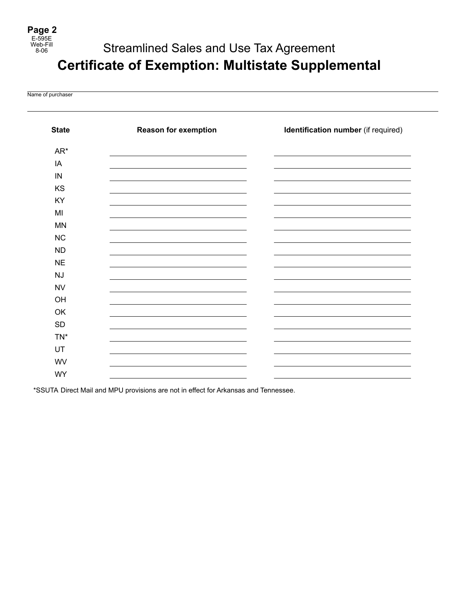# Streamlined Sales and Use Tax Agreement **Certificate of Exemption: Multistate Supplemental**

Name of purchaser

| <b>State</b> | <b>Reason for exemption</b> | Identification number (if required) |
|--------------|-----------------------------|-------------------------------------|
| AR*          |                             |                                     |
| IA           |                             |                                     |
| $\sf IN$     |                             |                                     |
| KS           |                             |                                     |
| KY           |                             |                                     |
| MI           |                             |                                     |
| MN           |                             |                                     |
| NC           |                             |                                     |
| <b>ND</b>    |                             |                                     |
| <b>NE</b>    |                             |                                     |
| NJ           |                             |                                     |
| <b>NV</b>    |                             |                                     |
| OH           |                             |                                     |
| OK           |                             |                                     |
| SD           |                             |                                     |
| TN*          |                             |                                     |
| UT           |                             |                                     |
| WV           |                             |                                     |
| <b>WY</b>    |                             |                                     |

\*SSUTA Direct Mail and MPU provisions are not in effect for Arkansas and Tennessee.